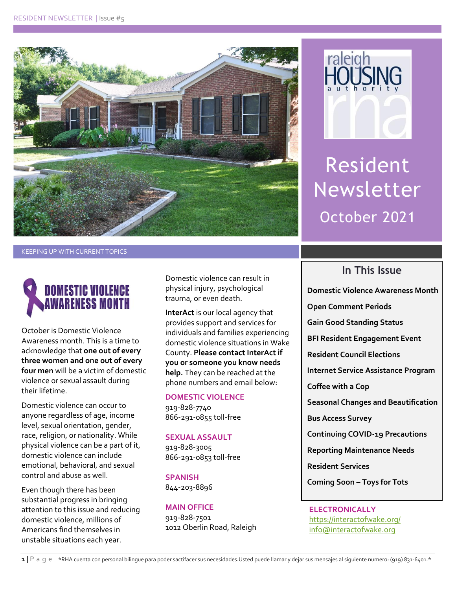



Resident Newsletter October 2021

KEEPING UP WITH CURRENT TOPICS



October is Domestic Violence Awareness month. This is a time to acknowledge that **one out of every three women and one out of every four men** will be a victim of domestic violence or sexual assault during their lifetime.

Domestic violence can occur to anyone regardless of age, income level, sexual orientation, gender, race, religion, or nationality. While physical violence can be a part of it, domestic violence can include emotional, behavioral, and sexual control and abuse as well.

Even though there has been substantial progress in bringing attention to this issue and reducing domestic violence, millions of Americans find themselves in unstable situations each year.

Domestic violence can result in physical injury, psychological trauma, or even death.

**InterAct** is our local agency that provides support and services for individuals and families experiencing domestic violence situations in Wake County. **Please contact InterAct if you or someone you know needs help.** They can be reached at the phone numbers and email below:

#### **DOMESTIC VIOLENCE**

919-828-7740 866-291-0855 toll-free

#### **SEXUAL ASSAULT**

919-828-3005 866-291-0853 toll-free

**SPANISH** 844-203-8896

#### **MAIN OFFICE** 919-828-7501

1012 Oberlin Road, Raleigh

### **In This Issue**

**Domestic Violence Awareness Month**

**Open Comment Periods** 

**Gain Good Standing Status**

**BFI Resident Engagement Event**

**Resident Council Elections**

**Internet Service Assistance Program**

**Coffee with a Cop**

**Seasonal Changes and Beautification**

**Bus Access Survey**

**Continuing COVID-19 Precautions**

**Reporting Maintenance Needs**

**Resident Services** 

**Coming Soon – Toys for Tots**

**ELECTRONICALLY** <https://interactofwake.org/> [info@interactofwake.org](mailto:info@interactofwake.org)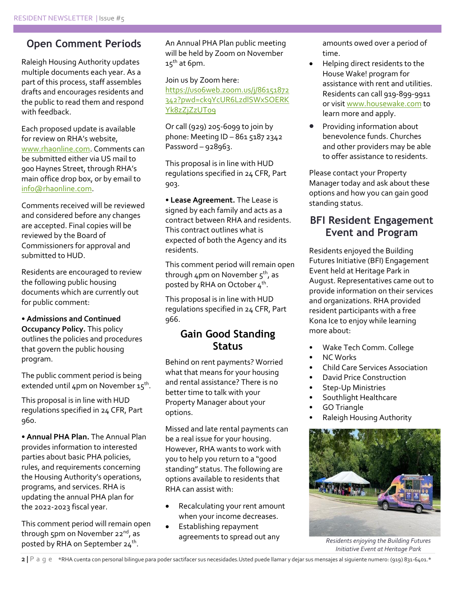### **Open Comment Periods**

Raleigh Housing Authority updates multiple documents each year. As a part of this process, staff assembles drafts and encourages residents and the public to read them and respond with feedback.

Each proposed update is available for review on RHA's website, [www.rhaonline.com.](http://www.rhaonline.com/) Comments can be submitted either via US mail to 900 Haynes Street, through RHA's main office drop box, or by email to [info@rhaonline.com.](mailto:info@rhaonline.com)

Comments received will be reviewed and considered before any changes are accepted. Final copies will be reviewed by the Board of Commissioners for approval and submitted to HUD.

Residents are encouraged to review the following public housing documents which are currently out for public comment:

#### • **Admissions and Continued**

**Occupancy Policy.** This policy outlines the policies and procedures that govern the public housing program.

The public comment period is being extended until 4pm on November 15<sup>th</sup>.

This proposal is in line with HUD regulations specified in 24 CFR, Part 960.

• **Annual PHA Plan.** The Annual Plan provides information to interested parties about basic PHA policies, rules, and requirements concerning the Housing Authority's operations, programs, and services. RHA is updating the annual PHA plan for the 2022-2023 fiscal year.

This comment period will remain open through 5pm on November 22<sup>nd</sup>, as posted by RHA on September 24<sup>th</sup>.

An Annual PHA Plan public meeting will be held by Zoom on November  $15^{th}$  at 6pm.

Join us by Zoom here: https://uso6web.zoom.us/j/86151872 [342?pwd=ck9YcUR6LzdlSWxSOERK](https://us06web.zoom.us/j/86151872342?pwd=ck9YcUR6LzdlSWxSOERKYk8zZjZzUT09) [Yk8zZjZzUT09](https://us06web.zoom.us/j/86151872342?pwd=ck9YcUR6LzdlSWxSOERKYk8zZjZzUT09)

Or call (929) 205-6099 to join by phone: Meeting ID – 861 5187 2342 Password –  $928963$ .

This proposal is in line with HUD regulations specified in 24 CFR, Part 903.

• **Lease Agreement.** The Lease is signed by each family and acts as a contract between RHA and residents. This contract outlines what is expected of both the Agency and its residents.

This comment period will remain open through 4pm on November 5<sup>th</sup>, as posted by RHA on October  $4^{\text{th}}$ .

This proposal is in line with HUD regulations specified in 24 CFR, Part 966.

## **Gain Good Standing Status**

Behind on rent payments? Worried what that means for your housing and rental assistance? There is no better time to talk with your Property Manager about your options.

Missed and late rental payments can be a real issue for your housing. However, RHA wants to work with you to help you return to a "good standing" status. The following are options available to residents that RHA can assist with:

- Recalculating your rent amount when your income decreases.
- Establishing repayment agreements to spread out any

amounts owed over a period of time.

- Helping direct residents to the House Wake! program for assistance with rent and utilities. Residents can call 919-899-9911 or visi[t www.housewake.com](http://www.housewake.com/) to learn more and apply.
- Providing information about benevolence funds. Churches and other providers may be able to offer assistance to residents.

Please contact your Property Manager today and ask about these options and how you can gain good standing status.

### **BFI Resident Engagement Event and Program**

Residents enjoyed the Building Futures Initiative (BFI) Engagement Event held at Heritage Park in August. Representatives came out to provide information on their services and organizations. RHA provided resident participants with a free Kona Ice to enjoy while learning more about:

- Wake Tech Comm. College
- NC Works
- Child Care Services Association
- David Price Construction
- Step-Up Ministries
- Southlight Healthcare
- GO Triangle
- Raleigh Housing Authority



*Residents enjoying the Building Futures Initiative Event at Heritage Park*

**2 |** P a g e\*RHA cuenta con personal bilingue para poder sactifacer sus necesidades.Usted puede llamar y dejar sus mensajes al siguiente numero: (919) 831-6401.\*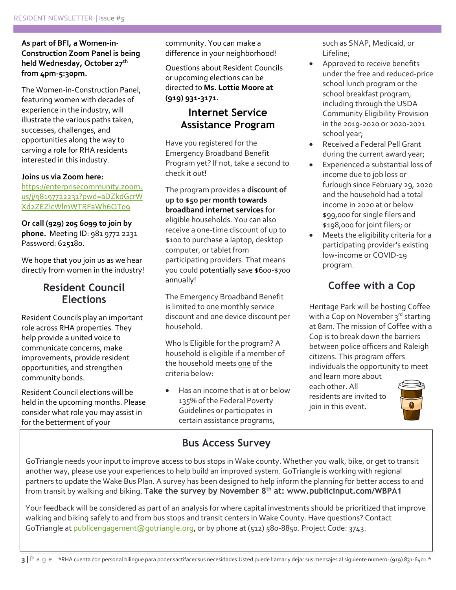**As part of BFI, a Women-in-Construction Zoom Panel is being held Wednesday, October 27th from 4pm-5:30pm.** 

The Women-in-Construction Panel, featuring women with decades of experience in the industry, will illustrate the various paths taken, successes, challenges, and opportunities along the way to carving a role for RHA residents interested in this industry.

#### **Joins us via Zoom here:**

[https://enterprisecommunity.zoom.](https://enterprisecommunity.zoom.us/j/98197722231?pwd=aDZkdGcrWXd2ZEZlcWlmWTRFaWh6QT09) [us/j/98197722231?pwd=aDZkdGcrW](https://enterprisecommunity.zoom.us/j/98197722231?pwd=aDZkdGcrWXd2ZEZlcWlmWTRFaWh6QT09) [Xd2ZEZlcWlmWTRFaWh6QT09](https://enterprisecommunity.zoom.us/j/98197722231?pwd=aDZkdGcrWXd2ZEZlcWlmWTRFaWh6QT09)

**Or call (929) 205 6099 to join by phone.** Meeting ID: 981 9772 2231 Password: 625180.

We hope that you join us as we hear directly from women in the industry!

### **Resident Council Elections**

Resident Councils play an important role across RHA properties. They help provide a united voice to communicate concerns, make improvements, provide resident opportunities, and strengthen community bonds.

Resident Council elections will be held in the upcoming months. Please consider what role you may assist in for the betterment of your

community. You can make a difference in your neighborhood!

Questions about Resident Councils or upcoming elections can be directed to **Ms. Lottie Moore at (919) 931-3171.**

### **Internet Service Assistance Program**

Have you registered for the Emergency Broadband Benefit Program yet? If not, take a second to check it out!

The program provides a **discount of up to \$50 per month towards broadband internet services** for eligible households. You can also receive a one-time discount of up to \$100 to purchase a laptop, desktop computer, or tablet from participating providers. That means you could potentially save \$600-\$700 annually!

The Emergency Broadband Benefit is limited to one monthly service discount and one device discount per household.

Who Is Eligible for the program? A household is eligible if a member of the household meets one of the criteria below:

 Has an income that is at or below 135% of the Federal Poverty Guidelines or participates in certain assistance programs,

such as SNAP, Medicaid, or Lifeline;

- Approved to receive benefits under the free and reduced-price school lunch program or the school breakfast program, including through the USDA Community Eligibility Provision in the 2019-2020 or 2020-2021 school year;
- Received a Federal Pell Grant during the current award year;
- Experienced a substantial loss of income due to job loss or furlough since February 29, 2020 and the household had a total income in 2020 at or below \$99,000 for single filers and \$198,000 for joint filers; or
- Meets the eligibility criteria for a participating provider's existing low-income or COVID-19 program.

# **Coffee with a Cop**

Heritage Park will be hosting Coffee with a Cop on November 3rd starting at 8am. The mission of Coffee with a Cop is to break down the barriers between police officers and Raleigh citizens. This program offers individuals the opportunity to meet and learn more about

each other. All residents are invited to join in this event.



# **Bus Access Survey**

GoTriangle needs your input to improve access to bus stops in Wake county. Whether you walk, bike, or get to transit another way, please use your experiences to help build an improved system. GoTriangle is working with regional partners to update the Wake Bus Plan. A survey has been designed to help inform the planning for better access to and from transit by walking and biking. **Take the survey by November 8th at: www.publicinput.com/WBPA1**

Your feedback will be considered as part of an analysis for where capital investments should be prioritized that improve walking and biking safely to and from bus stops and transit centers in Wake County. Have questions? Contact GoTriangle a[t publicengagement@gotriangle.org,](mailto:publicengagement@gotriangle.org) or by phone at (512) 580-8850. Project Code: 3743.